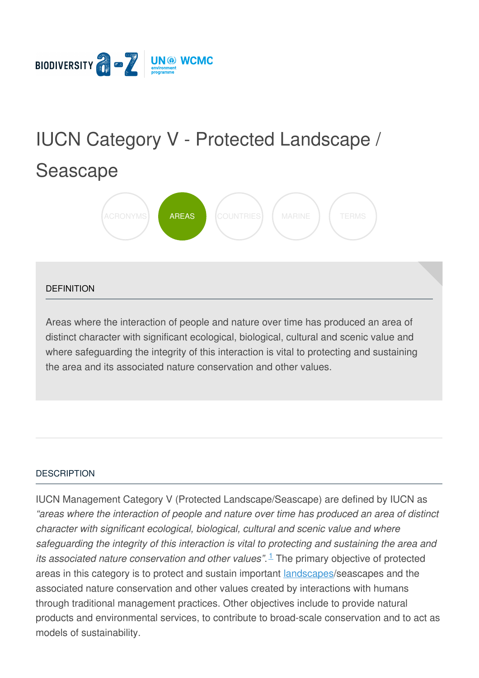

# IUCN Category V - Protected [Landscape](https://www.biodiversitya-z.org/content/iucn-category-v-protected-landscape-seascape) / Seascape



#### **DEFINITION**

Areas where the interaction of people and nature over time has produced an area of distinct character with significant ecological, biological, cultural and scenic value and where safeguarding the integrity of this interaction is vital to protecting and sustaining the area and its associated nature conservation and other values.

#### **[DESCRIPTION](javascript:void(0))**

IUCN Management Category V (Protected Landscape/Seascape) are defined by IUCN as *"areas where the interaction of people and nature over time has produced an area of distinct character with significant ecological, biological, cultural and scenic value and where safeguarding the integrity of this interaction is vital to protecting and sustaining the area and its associated nature conservation and other values"*. The primary objective of protect[ed](file:///tmp/.page-wrap.with-gradient) [1](#page-3-0)areas in this category is to protect and sustain important [landscapes](http://biodiversitya-z.org/content/landscape)/seascapes and the associated nature conservation and other values created by interactions with humans through traditional management practices. Other objectives include to provide natural products and environmental services, to contribute to broad-scale conservation and to act as models of sustainability.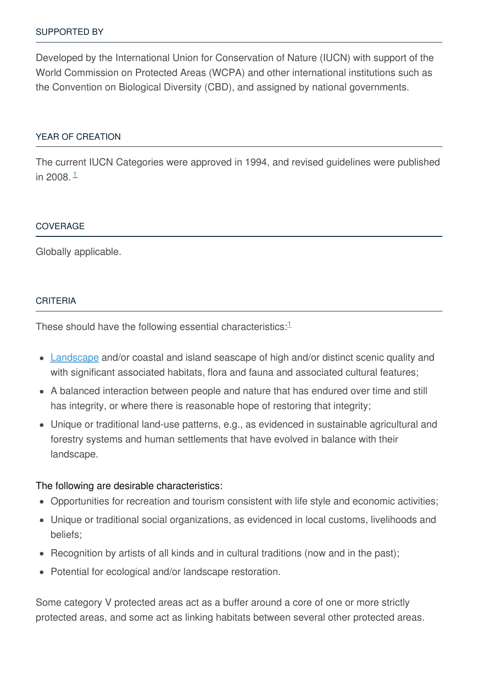Developed by the International Union for Conservation of Nature (IUCN) with support of the World Commission on Protected Areas (WCPA) and other international institutions such as the Convention on Biological Diversity (CBD), and assigned by national governments.

#### YEAR OF [CREATION](javascript:void(0))

The current IUCN Categories were approved in 1994, and revised guidelines were published in 2008. <sup>[1](#page-3-0)</sup>

#### **[COVERAGE](javascript:void(0))**

Globally applicable.

#### **[CRITERIA](javascript:void(0))**

These should have the following essential characteristics:<sup>[1](#page-3-0)</sup>

- [Landscape](http://biodiversitya-z.org/content/landscape) and/or coastal and island seascape of high and/or distinct scenic quality and with significant associated habitats, flora and fauna and associated cultural features;
- A balanced interaction between people and nature that has endured over time and still has integrity, or where there is reasonable hope of restoring that integrity;
- Unique or traditional land-use patterns, e.g., as evidenced in sustainable agricultural and forestry systems and human settlements that have evolved in balance with their landscape.

## The following are desirable characteristics:

- Opportunities for recreation and tourism consistent with life style and economic activities;
- Unique or traditional social organizations, as evidenced in local customs, livelihoods and beliefs;
- Recognition by artists of all kinds and in cultural traditions (now and in the past);
- Potential for ecological and/or landscape restoration.

Some category V protected areas act as a buffer around a core of one or more strictly protected areas, and some act as linking habitats between several other protected areas.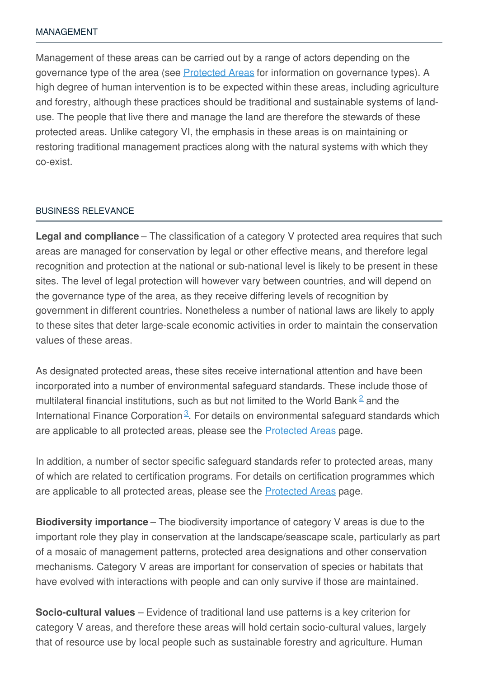#### [MANAGEMENT](javascript:void(0))

Management of these areas can be carried out by a range of actors depending on the governance type of the area (see **[Protected](http://biodiversitya-z.org/content/protected-areas) Areas** for information on governance types). A high degree of human intervention is to be expected within these areas, including agriculture and forestry, although these practices should be traditional and sustainable systems of landuse. The people that live there and manage the land are therefore the stewards of these protected areas. Unlike category VI, the emphasis in these areas is on maintaining or restoring traditional management practices along with the natural systems with which they co-exist.

#### BUSINESS [RELEVANCE](javascript:void(0))

**Legal and compliance** – The classification of a category V protected area requires that such areas are managed for conservation by legal or other effective means, and therefore legal recognition and protection at the national or sub-national level is likely to be present in these sites. The level of legal protection will however vary between countries, and will depend on the governance type of the area, as they receive differing levels of recognition by government in different countries. Nonetheless a number of national laws are likely to apply to these sites that deter large-scale economic activities in order to maintain the conservation values of these areas.

As designated protected areas, these sites receive international attention and have been incorporated into a number of environmental safeguard standards. These include those of multilateral financial institutions, such as but not limited to the World Bank $\frac{2}{3}$  $\frac{2}{3}$  $\frac{2}{3}$  and the International Finance Corporation<sup>[3](#page-3-2)</sup>. For details on environmental safeguard standards which are applicable to all protected areas, please see the **[Protected](http://biodiversitya-z.org/content/protected-areas) Areas** page.

In addition, a number of sector specific safeguard standards refer to protected areas, many of which are related to certification programs. For details on certification programmes which are applicable to all protected areas, please see the [Protected](http://biodiversitya-z.org/content/protected-areas) Areas page.

**Biodiversity importance** – The biodiversity importance of category V areas is due to the important role they play in conservation at the landscape/seascape scale, particularly as part of a mosaic of management patterns, protected area designations and other conservation mechanisms. Category V areas are important for conservation of species or habitats that have evolved with interactions with people and can only survive if those are maintained.

**Socio-cultural values** – Evidence of traditional land use patterns is a key criterion for category V areas, and therefore these areas will hold certain socio-cultural values, largely that of resource use by local people such as sustainable forestry and agriculture. Human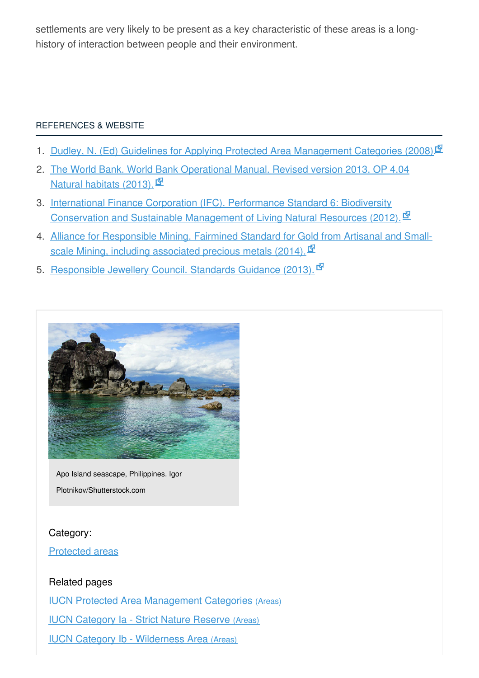settlements are very likely to be present as a key characteristic of these areas is a longhistory of interaction between people and their environment.

## [REFERENCES](javascript:void(0)) & WEBSITE

- <span id="page-3-0"></span>1. Dudley, N. (Ed) Guidelines for Applying Protected Area [Management](http://data.iucn.org/dbtw-wpd/edocs/PAPS-016.pdf) Categories (2008).<sup>[7]</sup>
- <span id="page-3-1"></span>2. The World Bank. World Bank [Operational](http://web.worldbank.org/WBSITE/EXTERNAL/PROJECTS/EXTPOLICIES/EXTOPMANUAL/0,,contentMDK:20064757~menuPK:4564185~pagePK:64709096~piPK:64709108~theSitePK:502184,00.html) Manual. Revised version 2013. OP 4.04 Natural habitats (2013).  $\mathbf{\Phi}$
- <span id="page-3-2"></span>3. International Finance Corporation (IFC). Performance Standard 6: Biodiversity [Conservation](http://www.ifc.org/wps/wcm/connect/bff0a28049a790d6b835faa8c6a8312a/PS6_English_2012.pdf?MOD=AJPERES) and Sustainable Management of Living Natural Resources (2012).
- 4. Alliance for [Responsible](http://www.communitymining.org/images/sampledata/EstandarFairmined/Fairmined Stnd 2 0_2014 ENGLISH.pdf) Mining. Fairmined Standard for Gold from Artisanal and Smallscale Mining, including associated precious metals (2014).
- 5. [Responsible](http://www.responsiblejewellery.com/files/RJC_Standards_Guidance_2013_eng.pdf) Jewellery Council. Standards Guidance (2013). <sup>GN</sup>



Apo Island seascape, Philippines. Igor Plotnikov/Shutterstock.com

# Category:

## [Protected](https://www.biodiversitya-z.org/themes/areas?category_id=30) areas

# Related pages

IUCN Protected Area [Management](file:///content/iucn-protected-area-management-categories) Categories (Areas)

IUCN [Category](file:///content/iucn-category-ia-strict-nature-reserve) Ia - Strict Nature Reserve (Areas)

IUCN Category Ib - [Wilderness](file:///content/iucn-category-ib-wilderness-area) Area (Areas)